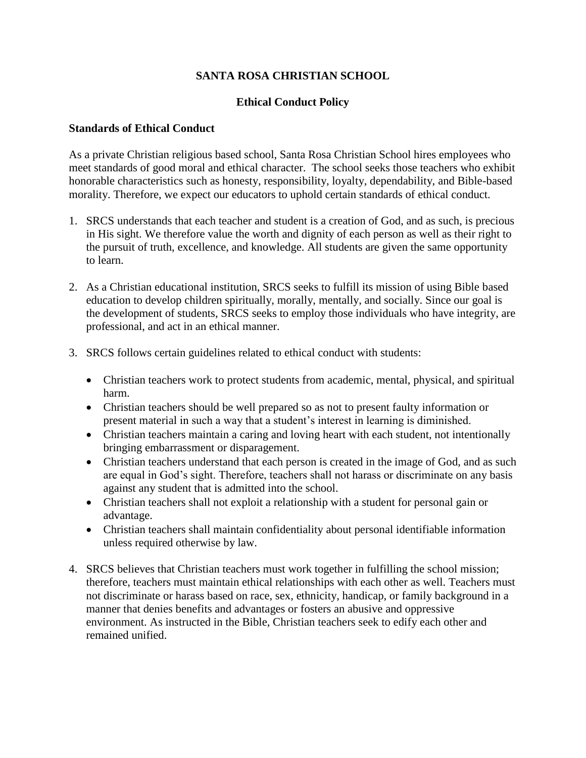# **SANTA ROSA CHRISTIAN SCHOOL**

## **Ethical Conduct Policy**

#### **Standards of Ethical Conduct**

As a private Christian religious based school, Santa Rosa Christian School hires employees who meet standards of good moral and ethical character. The school seeks those teachers who exhibit honorable characteristics such as honesty, responsibility, loyalty, dependability, and Bible-based morality. Therefore, we expect our educators to uphold certain standards of ethical conduct.

- 1. SRCS understands that each teacher and student is a creation of God, and as such, is precious in His sight. We therefore value the worth and dignity of each person as well as their right to the pursuit of truth, excellence, and knowledge. All students are given the same opportunity to learn.
- 2. As a Christian educational institution, SRCS seeks to fulfill its mission of using Bible based education to develop children spiritually, morally, mentally, and socially. Since our goal is the development of students, SRCS seeks to employ those individuals who have integrity, are professional, and act in an ethical manner.
- 3. SRCS follows certain guidelines related to ethical conduct with students:
	- Christian teachers work to protect students from academic, mental, physical, and spiritual harm.
	- Christian teachers should be well prepared so as not to present faulty information or present material in such a way that a student's interest in learning is diminished.
	- Christian teachers maintain a caring and loving heart with each student, not intentionally bringing embarrassment or disparagement.
	- Christian teachers understand that each person is created in the image of God, and as such are equal in God's sight. Therefore, teachers shall not harass or discriminate on any basis against any student that is admitted into the school.
	- Christian teachers shall not exploit a relationship with a student for personal gain or advantage.
	- Christian teachers shall maintain confidentiality about personal identifiable information unless required otherwise by law.
- 4. SRCS believes that Christian teachers must work together in fulfilling the school mission; therefore, teachers must maintain ethical relationships with each other as well. Teachers must not discriminate or harass based on race, sex, ethnicity, handicap, or family background in a manner that denies benefits and advantages or fosters an abusive and oppressive environment. As instructed in the Bible, Christian teachers seek to edify each other and remained unified.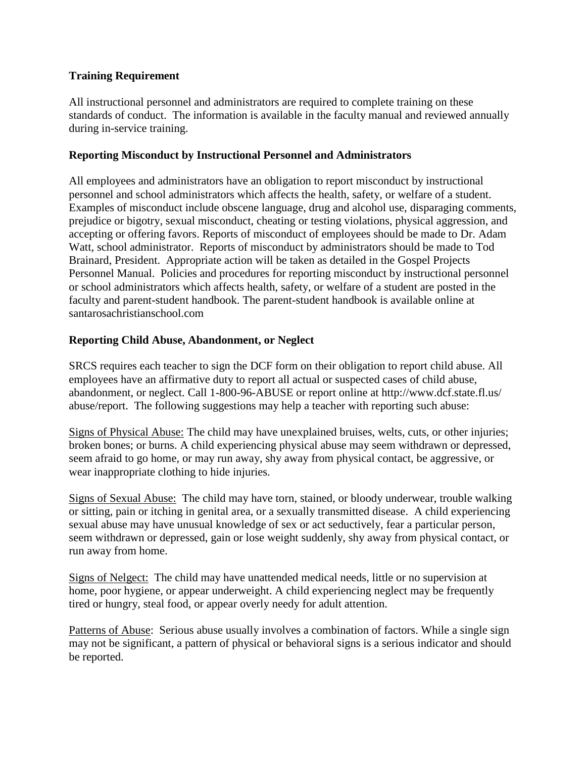# **Training Requirement**

All instructional personnel and administrators are required to complete training on these standards of conduct. The information is available in the faculty manual and reviewed annually during in-service training.

## **Reporting Misconduct by Instructional Personnel and Administrators**

All employees and administrators have an obligation to report misconduct by instructional personnel and school administrators which affects the health, safety, or welfare of a student. Examples of misconduct include obscene language, drug and alcohol use, disparaging comments, prejudice or bigotry, sexual misconduct, cheating or testing violations, physical aggression, and accepting or offering favors. Reports of misconduct of employees should be made to Dr. Adam Watt, school administrator. Reports of misconduct by administrators should be made to Tod Brainard, President. Appropriate action will be taken as detailed in the Gospel Projects Personnel Manual. Policies and procedures for reporting misconduct by instructional personnel or school administrators which affects health, safety, or welfare of a student are posted in the faculty and parent-student handbook. The parent-student handbook is available online at santarosachristianschool.com

## **Reporting Child Abuse, Abandonment, or Neglect**

SRCS requires each teacher to sign the DCF form on their obligation to report child abuse. All employees have an affirmative duty to report all actual or suspected cases of child abuse, abandonment, or neglect. Call 1-800-96-ABUSE or report online at http://www.dcf.state.fl.us/ abuse/report. The following suggestions may help a teacher with reporting such abuse:

Signs of Physical Abuse: The child may have unexplained bruises, welts, cuts, or other injuries; broken bones; or burns. A child experiencing physical abuse may seem withdrawn or depressed, seem afraid to go home, or may run away, shy away from physical contact, be aggressive, or wear inappropriate clothing to hide injuries.

Signs of Sexual Abuse: The child may have torn, stained, or bloody underwear, trouble walking or sitting, pain or itching in genital area, or a sexually transmitted disease. A child experiencing sexual abuse may have unusual knowledge of sex or act seductively, fear a particular person, seem withdrawn or depressed, gain or lose weight suddenly, shy away from physical contact, or run away from home.

Signs of Nelgect: The child may have unattended medical needs, little or no supervision at home, poor hygiene, or appear underweight. A child experiencing neglect may be frequently tired or hungry, steal food, or appear overly needy for adult attention.

Patterns of Abuse: Serious abuse usually involves a combination of factors. While a single sign may not be significant, a pattern of physical or behavioral signs is a serious indicator and should be reported.